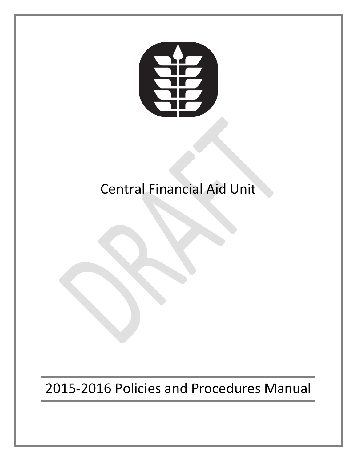

# Central Financial Aid Unit

# 2015-2016 Policies and Procedures Manual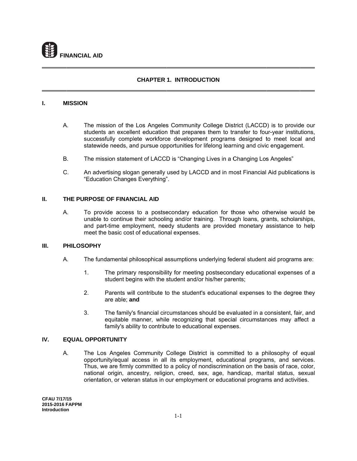

## **CHAPTER 1. INTRODUCTION**

#### L. **MISSION**

- A. The mission of the Los Angeles Community College District (LACCD) is to provide our students an excellent education that prepares them to transfer to four-year institutions, successfully complete workforce development programs designed to meet local and statewide needs, and pursue opportunities for lifelong learning and civic engagement.
- В. The mission statement of LACCD is "Changing Lives in a Changing Los Angeles"
- $C_{-}$ An advertising slogan generally used by LACCD and in most Financial Aid publications is "Education Changes Everything".

#### $II.$ THE PURPOSE OF FINANCIAL AID

A. To provide access to a postsecondary education for those who otherwise would be unable to continue their schooling and/or training. Through loans, grants, scholarships, and part-time employment, needy students are provided monetary assistance to help meet the basic cost of educational expenses.

#### $III.$ **PHILOSOPHY**

- А. The fundamental philosophical assumptions underlying federal student aid programs are:
	- $1<sub>1</sub>$ The primary responsibility for meeting postsecondary educational expenses of a student begins with the student and/or his/her parents;
	- $\mathcal{P}$ Parents will contribute to the student's educational expenses to the degree they are able; and
	- $3<sub>1</sub>$ The family's financial circumstances should be evaluated in a consistent, fair, and equitable manner, while recognizing that special circumstances may affect a family's ability to contribute to educational expenses.

#### **EQUAL OPPORTUNITY** IV.

A. The Los Angeles Community College District is committed to a philosophy of equal opportunity/equal access in all its employment, educational programs, and services. Thus, we are firmly committed to a policy of nondiscrimination on the basis of race, color, national origin, ancestry, religion, creed, sex, age, handicap, marital status, sexual orientation, or veteran status in our employment or educational programs and activities.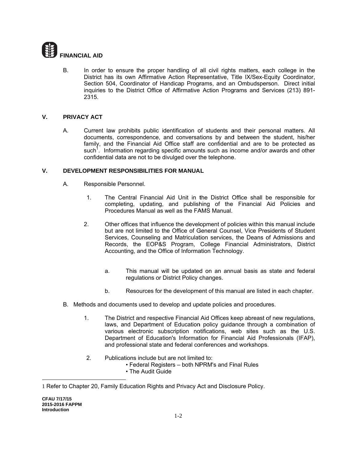

**B.** In order to ensure the proper handling of all civil rights matters, each college in the District has its own Affirmative Action Representative, Title IX/Sex-Equity Coordinator, Section 504, Coordinator of Handicap Programs, and an Ombudsperson. Direct initial inquiries to the District Office of Affirmative Action Programs and Services (213) 891-2315.

#### $V_{-}$ PRIVACY ACT

А. Current law prohibits public identification of students and their personal matters. All documents, correspondence, and conversations by and between the student, his/her family, and the Financial Aid Office staff are confidential and are to be protected as such<sup>1</sup>. Information regarding specific amounts such as income and/or awards and other confidential data are not to be divulged over the telephone.

#### V. DEVELOPMENT RESPONSIBILITIES FOR MANUAL

- A. Responsible Personnel.
	- The Central Financial Aid Unit in the District Office shall be responsible for  $1<sub>1</sub>$ completing, updating, and publishing of the Financial Aid Policies and Procedures Manual as well as the FAMS Manual.
	- $2.$ Other offices that influence the development of policies within this manual include but are not limited to the Office of General Counsel, Vice Presidents of Student Services, Counseling and Matriculation services, the Deans of Admissions and Records, the EOP&S Program, College Financial Administrators, District Accounting, and the Office of Information Technology.
		- This manual will be updated on an annual basis as state and federal a. regulations or District Policy changes.
		- b. Resources for the development of this manual are listed in each chapter.
- B. Methods and documents used to develop and update policies and procedures.
	- The District and respective Financial Aid Offices keep abreast of new regulations.  $1<sub>1</sub>$ laws, and Department of Education policy guidance through a combination of various electronic subscription notifications, web sites such as the U.S. Department of Education's Information for Financial Aid Professionals (IFAP), and professional state and federal conferences and workshops.
	- $2.$ Publications include but are not limited to:
		- Federal Registers both NPRM's and Final Rules
		- The Audit Guide

<sup>1</sup> Refer to Chapter 20, Family Education Rights and Privacy Act and Disclosure Policy.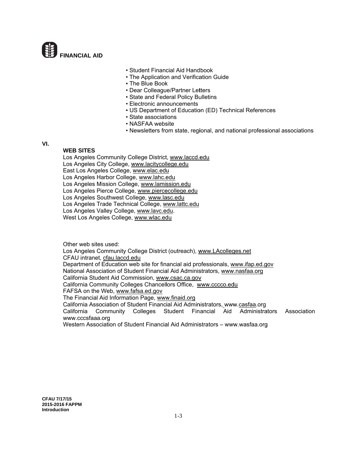

- Student Financial Aid Handbook
- The Application and Verification Guide
- The Blue Book
- Dear Colleague/Partner Letters
- State and Federal Policy Bulletins
- Electronic announcements
- US Department of Education (ED) Technical References
- State associations
- NASFAA website
- Newsletters from state, regional, and national professional associations

#### VI.

### **WEB SITES**

Los Angeles Community College District, www.laccd.edu Los Angeles City College, www.lacitycollege.edu East Los Angeles College, www.elac.edu Los Angeles Harbor College, www.lahc.edu Los Angeles Mission College, www.lamission.edu Los Angeles Pierce College, www.piercecollege.edu Los Angeles Southwest College, www.lasc.edu Los Angeles Trade Technical College, www.lattc.edu Los Angeles Valley College, www.lavc.edu. West Los Angeles College, www.wlac.edu

Other web sites used:

Los Angeles Community College District (outreach), www.LAcolleges.net CFAU intranet, cfau.laccd.edu Department of Education web site for financial aid professionals, www.ifap.ed.gov National Association of Student Financial Aid Administrators, www.nasfaa.org California Student Aid Commission, www.csac.ca.gov California Community Colleges Chancellors Office, www.cccco.edu FAFSA on the Web, www.fafsa.ed.gov The Financial Aid Information Page, www.finaid.org California Association of Student Financial Aid Administrators, www.casfaa.org Community Colleges Student Financial Aid Administrators California Association www.cccsfaaa.org Western Association of Student Financial Aid Administrators - www.wasfaa.org

**CFAU 7/17/15** 2015-2016 FAPPM Introduction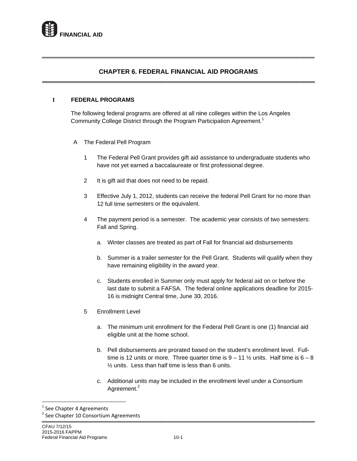

# **C CHAPTER 6 6. FEDERAL L FINANCIA AL AID PRO OGRAMS**

#### **I FEDERAL PROGRAMS S**

The following federal programs are offered at all nine colleges within the Los Angeles Community College District through the Program Participation Agreement.<sup>1</sup>

- A The Federal Pell Program
	- 1 The Federal Pell Grant provides gift aid assistance to undergraduate students who have not yet earned a baccalaureate or first professional degree.
	- $2<sup>1</sup>$ t is gift aid that does not need to be repaid.
	- $3<sup>2</sup>$ 1 2 full time se mesters or th e equivalent. Effective July 1, 2012, students can receive the federal Pell Grant for no more than
	- 4 The payment period is a semester. The academic year consists of two semesters: Fall and Spring.
		- a. Winter classes are treated as part of Fall for financial aid disbursements
		- b. Summer is a trailer semester for the Pell Grant. Students will qualify when they have remaining eligibility in the award year.
		- c. Students enrolled in Summer only must apply for federal aid on or before the last date to submit a FAFSA. The federal online applications deadline for 2015-16 is midnight Central time, June 30, 2016.
	- 5 Enrollment Level

 $\overline{\phantom{a}}$ 

- a. The minimum unit enrollment for the Federal Pell Grant is one (1) financial aid eligible unit at the home school.
- b. Pell disbursements are prorated based on the student's enrollment level. Fulltime is 12 units or more. Three quarter time is  $9 - 11$  % units. Half time is  $6 - 8$  $\frac{1}{2}$  units. Less than half time is less than 6 units.
- c. Additional units may be included in the enrollment level under a Consortium Agreement.<sup>2</sup>

pter 4 Agreements

<sup>&</sup>lt;sup>1</sup> See Chapter 4 Agreements<br><sup>2</sup> See Chapter 10 Consortium Agreements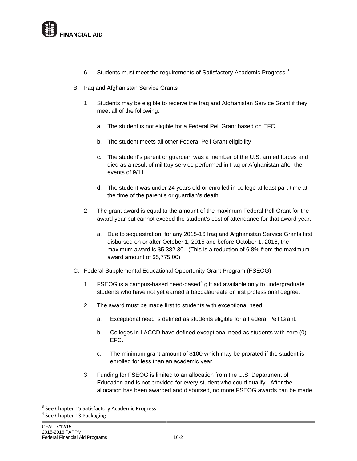

- 6 Students must meet the requirements of Satisfactory Academic Progress.<sup>3</sup>
- B Iraq and Afghanistan Service Grants
	- 1 Students may be eligible to receive the Iraq and Afghanistan Service Grant if they m meet all of the following:
		- a. The student is not eligible for a Federal Pell Grant based on EFC.
		- b. The student meets all other Federal Pell Grant eligibility
		- c. The student's parent or guardian was a member of the U.S. armed forces and died as a result of military service performed in Iraq or Afghanistan after the<br>events of 9/11<br>d. The student was under 24 years old or enrolled in college at least part-time at died as a result of military service performed in Iraq or Afghanistan after the events of 9 9/11
		- the time of the parent's or guardian's death.
	- 2 The grant award is equal to the amount of the maximum Federal Pell Grant for the award year but cannot exceed the student's cost of attendance for that award year.
		- a. Due to sequestration, for any 2015-16 Iraq and Afghanistan Service Grants first disbursed on or after October 1, 2015 and before October 1, 2016, the maximum award is \$5,382.30. (This is a reduction of 6.8% from the maximum award amount of \$5,775.00)
- C. Federal Supplemental Educational Opportunity Grant Program (FSEOG)
	- $1.$ students who have not yet earned a baccalaureate or first professional degree. FSEOG is a campus-based need-based $4$  gift aid available only to undergraduate
	- $2.$ The award must be made first to students with exceptional need.
		- a . Exceptional need is defined as students eligible for a Federal Pell Grant.
		- $b<sub>1</sub>$ . Colleges in LACCD have defined exceptional need as students with zero (0) EFC.
		- c. . The minimum grant amount of \$100 which may be prorated if the student is enrolled for less than an academic year.
	- $3<sub>r</sub>$ Education and is not provided for every student who could qualify. After the allocation has been awarded and disbursed, no more FSEOG awards can be made. Funding for FSEOG is limited to an allocation from the U.S. Department of

 $\overline{\phantom{a}}$ 

pter 15 Satisfactory Academic Progress

<sup>&</sup>lt;sup>3</sup> See Chapter 15 Satisfacto<br><sup>4</sup> See Chapter 13 Packaging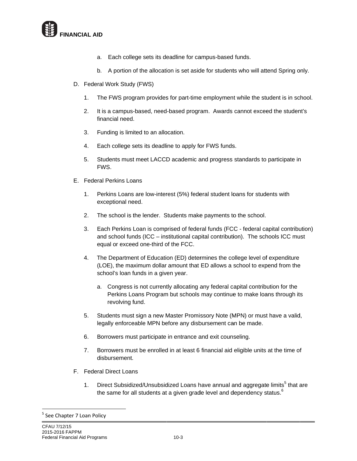

- a. Each college sets its deadline for campus-based funds.
- b. A portion of the allocation is set aside for students who will attend Spring only.
- D. Federal Work Study (FWS)
	- The FWS program provides for part-time employment while the student is in school.  $1<sub>1</sub>$
	- $2.$ It is a campus-based, need-based program. Awards cannot exceed the student's financial need.
	- $3<sub>1</sub>$ Funding is limited to an allocation.
	- 4. Each college sets its deadline to apply for FWS funds.
	- $5.$ Students must meet LACCD academic and progress standards to participate in FWS.
- E. Federal Perkins Loans
	- $1<sup>1</sup>$ Perkins Loans are low-interest (5%) federal student loans for students with exceptional need.
	- $2.$ The school is the lender. Students make payments to the school.
	- 3. Each Perkins Loan is comprised of federal funds (FCC - federal capital contribution) and school funds (ICC - institutional capital contribution). The schools ICC must equal or exceed one-third of the FCC.
	- 4. The Department of Education (ED) determines the college level of expenditure (LOE), the maximum dollar amount that ED allows a school to expend from the school's loan funds in a given year.
		- a. Congress is not currently allocating any federal capital contribution for the Perkins Loans Program but schools may continue to make loans through its revolving fund.
	- Students must sign a new Master Promissory Note (MPN) or must have a valid,  $5<sup>1</sup>$ legally enforceable MPN before any disbursement can be made.
	- Borrowers must participate in entrance and exit counseling. 6.
	- $7<sup>1</sup>$ Borrowers must be enrolled in at least 6 financial aid eligible units at the time of disbursement.
- F. Federal Direct Loans
	- Direct Subsidized/Unsubsidized Loans have annual and aggregate limits<sup>5</sup> that are  $1.$ the same for all students at a given grade level and dependency status.<sup>6</sup>

<sup>&</sup>lt;sup>5</sup> See Chapter 7 Loan Policy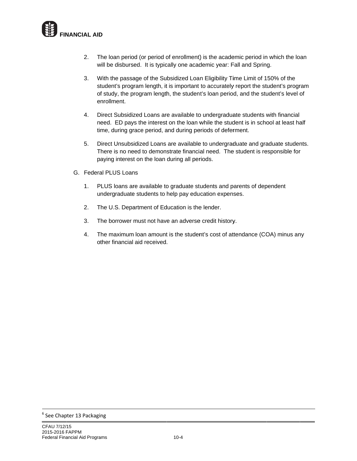

- $2.$ will be disbursed. It is typically one academic year: Fall and Spring. The loan period (or period of enrollment) is the academic period in which the loan
- 3. With the passage of the Subsidized Loan Eligibility Time Limit of 150% of the student's program length, it is important to accurately report the student's program of study, the program length, the student's loan period, and the student's level of e nrollment.
- $4.$ need. ED pays the interest on the loan while the student is in school at least half time, during grace period, and during periods of deferment. Direct Subsidized Loans are available to undergraduate students with financial
- $5.$ There is no need to demonstrate financial need. The student is responsible for paying interest on the loan during all periods. Direct Unsubsidized Loans are available to undergraduate and graduate students.
- G. Federal PLUS Loans
	- $1<sub>r</sub>$ undergraduate students to help pay education expenses. PLUS loans are available to graduate students and parents of dependent
	- $2.$ The U.S. Department of Education is the lender.
	- $3.$ The borrower must not have an adverse credit history.
	- $4.$ o other financial aid received . The maximum loan amount is the student's cost of attendance (COA) minus any

 $\overline{\phantom{a}}$ 

<sup>&</sup>lt;sup>6</sup> See Chapter 13 Packaging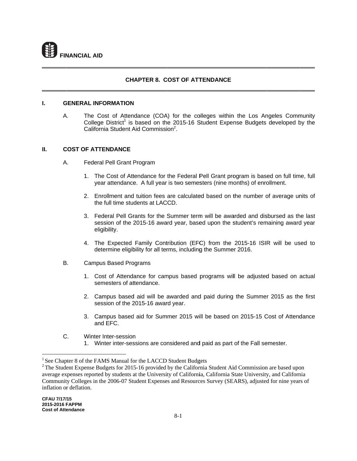

### **CHAPTER 8. COST OF ATTENDANCE**

#### $\mathbf{L}$ **GENERAL INFORMATION**

A. The Cost of Attendance (COA) for the colleges within the Los Angeles Community College District<sup>1</sup> is based on the 2015-16 Student Expense Budgets developed by the California Student Aid Commission<sup>2</sup>.

#### П. **COST OF ATTENDANCE**

- A. Federal Pell Grant Program
	- 1. The Cost of Attendance for the Federal Pell Grant program is based on full time, full year attendance. A full year is two semesters (nine months) of enrollment.
	- 2. Enrollment and tuition fees are calculated based on the number of average units of the full time students at LACCD.
	- 3. Federal Pell Grants for the Summer term will be awarded and disbursed as the last session of the 2015-16 award year, based upon the student's remaining award year eligibility.
	- 4. The Expected Family Contribution (EFC) from the 2015-16 ISIR will be used to determine eligibility for all terms, including the Summer 2016.
- **B. Campus Based Programs** 
	- 1. Cost of Attendance for campus based programs will be adjusted based on actual semesters of attendance.
	- 2. Campus based aid will be awarded and paid during the Summer 2015 as the first session of the 2015-16 award year.
	- 3. Campus based aid for Summer 2015 will be based on 2015-15 Cost of Attendance and EFC.
- $C_{1}$ Winter Inter-session
	- 1. Winter inter-sessions are considered and paid as part of the Fall semester.

<sup>&</sup>lt;sup>1</sup> See Chapter 8 of the FAMS Manual for the LACCD Student Budgets

 $2$  The Student Expense Budgets for 2015-16 provided by the California Student Aid Commission are based upon average expenses reported by students at the University of California, California State University, and California Community Colleges in the 2006-07 Student Expenses and Resources Survey (SEARS), adjusted for nine years of inflation or deflation.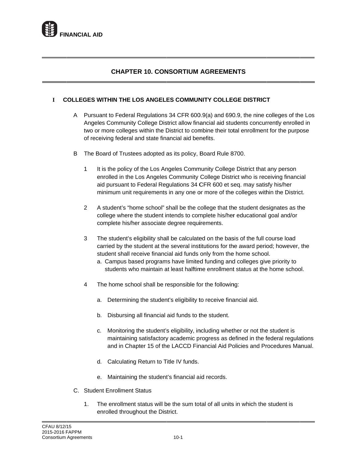

# **CHAPTER 10. CONSORTIUM AGREEMENTS**

#### $\mathbf{I}$ **COLLEGES WITHIN THE LOS ANGELES COMMUNITY COLLEGE DISTRICT**

- A Pursuant to Federal Regulations 34 CFR 600.9(a) and 690.9, the nine colleges of the Los Angeles Community College District allow financial aid students concurrently enrolled in two or more colleges within the District to combine their total enrollment for the purpose of receiving federal and state financial aid benefits.
- B The Board of Trustees adopted as its policy, Board Rule 8700.
	- $\mathbf{1}$ It is the policy of the Los Angeles Community College District that any person enrolled in the Los Angeles Community College District who is receiving financial aid pursuant to Federal Regulations 34 CFR 600 et seq. may satisfy his/her minimum unit requirements in any one or more of the colleges within the District.
	- $\overline{2}$ A student's "home school" shall be the college that the student designates as the college where the student intends to complete his/her educational goal and/or complete his/her associate degree requirements.
	- The student's eligibility shall be calculated on the basis of the full course load 3 carried by the student at the several institutions for the award period; however, the student shall receive financial aid funds only from the home school.
		- a. Campus based programs have limited funding and colleges give priority to students who maintain at least halftime enrollment status at the home school.
	- The home school shall be responsible for the following: 4
		- Determining the student's eligibility to receive financial aid.  $a_{-}$
		- b. Disbursing all financial aid funds to the student.
		- c. Monitoring the student's eligibility, including whether or not the student is maintaining satisfactory academic progress as defined in the federal regulations and in Chapter 15 of the LACCD Financial Aid Policies and Procedures Manual.
		- d. Calculating Return to Title IV funds.
		- e. Maintaining the student's financial aid records.
- C. Student Enrollment Status
	- The enrollment status will be the sum total of all units in which the student is  $1.$ enrolled throughout the District.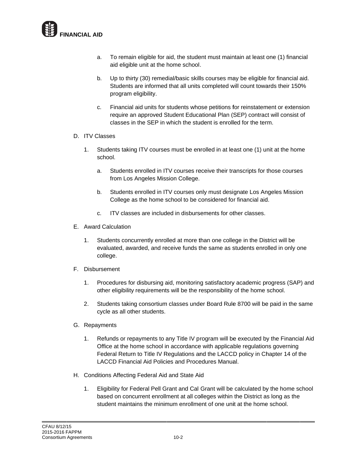

- a . To remain eligible for aid, the student must maintain at least one (1) financial aid eligib le unit at the home school .
- b. Up to thirty (30) remedial/basic skills courses may be eligible for financial aid. Students are informed that all units completed will count towards their 150% program eligibility.
- c . Financial aid units for students whose petitions for reinstatement or extension require an approved Student Educational Plan (SEP) contract will consist of classes in the SEP in which the student is enrolled for the term.

## D. ITV Cl asses

- $1.$ s chool. Students taking ITV courses must be enrolled in at least one (1) unit at the home
	- a . Students enrolled in ITV courses receive their transcripts for those courses from Los Angeles Mission College.
	- $b<sub>1</sub>$ . Students enrolled in ITV courses only must designate Los Angeles Mission College as the home school to be considered for financial aid.
	- c. ITV classes are included in disbursements for other classes.
- E. Award Calculation
	- $1.$ evaluated, awarded, and receive funds the same as students enrolled in only one c ollege. Students concurrently enrolled at more than one college in the District will be
- F. Disbursement
	- $1.$ other eligibility requirements will be the responsibility of the home school. Procedures for disbursing aid, monitoring satisfactory academic progress (SAP) and
	- $2.$ cycle as all other students. Students taking consortium classes under Board Rule 8700 will be paid in the same
- G. Repayments
	- $1<sub>r</sub>$ Office at the home school in accordance with applicable regulations governing Federal Return to Title IV Regulations and the LACCD policy in Chapter 14 of the LACCD Financial Aid Policies and Procedures Manual. Refunds or repayments to any Title IV program will be executed by the Financial Aid
- H. Conditions Affecting Federal Aid and State Aid
	- $1<sub>l</sub>$ based on concurrent enrollment at all colleges within the District as long as the student maintains the minimum enrollment of one unit at the home school. Eligibility for Federal Pell Grant and Cal Grant will be calculated by the home school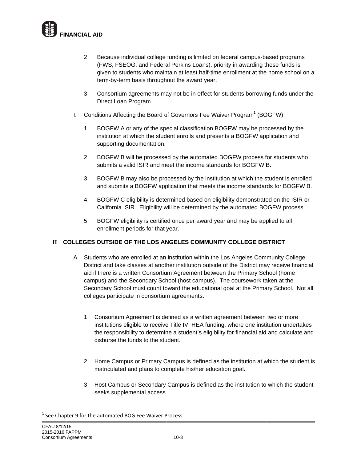

- $2.$ Because individual college funding is limited on federal campus-based programs (FWS, FSEOG, and Federal Perkins Loans), priority in awarding these funds is given to students who maintain at least half-time enrollment at the home school on a term-by-term basis throughout the award year.
- 3. Consortium agreements may not be in effect for students borrowing funds under the Direct Loan Program.
- Conditions Affecting the Board of Governors Fee Waiver Program<sup>1</sup> (BOGFW) L.
	- $1.$ BOGFW A or any of the special classification BOGFW may be processed by the institution at which the student enrolls and presents a BOGFW application and supporting documentation.
	- $2.$ BOGFW B will be processed by the automated BOGFW process for students who submits a valid ISIR and meet the income standards for BOGFW B.
	- $3.$ BOGFW B may also be processed by the institution at which the student is enrolled and submits a BOGFW application that meets the income standards for BOGFW B.
	- BOGFW C eligibility is determined based on eligibility demonstrated on the ISIR or 4. California ISIR. Eligibility will be determined by the automated BOGFW process.
	- $5.$ BOGFW eligibility is certified once per award year and may be applied to all enrollment periods for that year.

# II COLLEGES OUTSIDE OF THE LOS ANGELES COMMUNITY COLLEGE DISTRICT

- A Students who are enrolled at an institution within the Los Angeles Community College District and take classes at another institution outside of the District may receive financial aid if there is a written Consortium Agreement between the Primary School (home campus) and the Secondary School (host campus). The coursework taken at the Secondary School must count toward the educational goal at the Primary School. Not all colleges participate in consortium agreements.
	- 1 Consortium Agreement is defined as a written agreement between two or more institutions eligible to receive Title IV, HEA funding, where one institution undertakes the responsibility to determine a student's eligibility for financial aid and calculate and disburse the funds to the student.
	- 2 Home Campus or Primary Campus is defined as the institution at which the student is matriculated and plans to complete his/her education goal.
	- 3 Host Campus or Secondary Campus is defined as the institution to which the student seeks supplemental access.

<sup>&</sup>lt;sup>1</sup> See Chapter 9 for the automated BOG Fee Waiver Process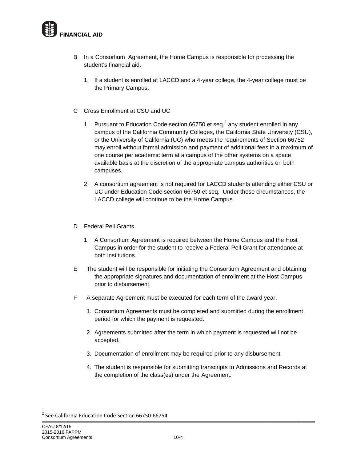

- In a Consortium Agreement, the Home Campus is responsible for processing the B student's financial aid.
	- 1. If a student is enrolled at LACCD and a 4-year college, the 4-year college must be the Primary Campus.
- C Cross Enrollment at CSU and UC
	- Pursuant to Education Code section 66750 et seq.<sup>2</sup> any student enrolled in any  $1$ campus of the California Community Colleges, the California State University (CSU), or the University of California (UC) who meets the requirements of Section 66752 may enroll without formal admission and payment of additional fees in a maximum of one course per academic term at a campus of the other systems on a space available basis at the discretion of the appropriate campus authorities on both campuses.
	- 2 A consortium agreement is not required for LACCD students attending either CSU or UC under Education Code section 66750 et seq. Under these circumstances, the LACCD college will continue to be the Home Campus.
- D Federal Pell Grants
	- 1. A Consortium Agreement is required between the Home Campus and the Host Campus in order for the student to receive a Federal Pell Grant for attendance at both institutions.
- E The student will be responsible for initiating the Consortium Agreement and obtaining the appropriate signatures and documentation of enrollment at the Host Campus prior to disbursement.
- F A separate Agreement must be executed for each term of the award year.
	- 1. Consortium Agreements must be completed and submitted during the enrollment period for which the payment is requested.
	- 2. Agreements submitted after the term in which payment is requested will not be accepted.
	- 3. Documentation of enrollment may be required prior to any disbursement
	- 4. The student is responsible for submitting transcripts to Admissions and Records at the completion of the class(es) under the Agreement.

<sup>&</sup>lt;sup>2</sup> See California Education Code Section 66750-66754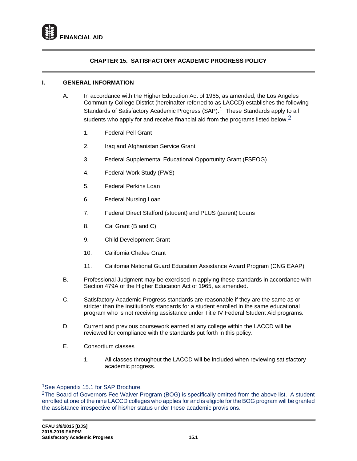## **CHAPTER 15. SATISFACTORY ACADEMIC PROGRESS POLICY**

## **I. GENERAL INFORMATION**

- A. In accordance with the Higher Education Act of 1965, as amended, the Los Angeles Community College District (hereinafter referred to as LACCD) establishes the following Standards of Satisfactory Academic Progress (SAP).<sup>1</sup> These Standards apply to all students who apply for and receive financial aid from the programs listed below.<sup>2</sup>
	- 1. Federal Pell Grant
	- 2. Iraq and Afghanistan Service Grant
	- 3. Federal Supplemental Educational Opportunity Grant (FSEOG)
	- 4. Federal Work Study (FWS)
	- 5. Federal Perkins Loan
	- 6. Federal Nursing Loan
	- 7. Federal Direct Stafford (student) and PLUS (parent) Loans
	- 8. Cal Grant (B and C)
	- 9. Child Development Grant
	- 10. California Chafee Grant
	- 11. California National Guard Education Assistance Award Program (CNG EAAP)
- B. Professional Judgment may be exercised in applying these standards in accordance with Section 479A of the Higher Education Act of 1965, as amended.
- C. Satisfactory Academic Progress standards are reasonable if they are the same as or stricter than the institution's standards for a student enrolled in the same educational program who is not receiving assistance under Title IV Federal Student Aid programs.
- D. Current and previous coursework earned at any college within the LACCD will be reviewed for compliance with the standards put forth in this policy.
- E. Consortium classes
	- 1. All classes throughout the LACCD will be included when reviewing satisfactory academic progress.

 $\overline{a}$ 

<sup>1</sup>See Appendix 15.1 for SAP Brochure.

<sup>2</sup>The Board of Governors Fee Waiver Program (BOG) is specifically omitted from the above list. A student enrolled at one of the nine LACCD colleges who applies for and is eligible for the BOG program will be granted the assistance irrespective of his/her status under these academic provisions.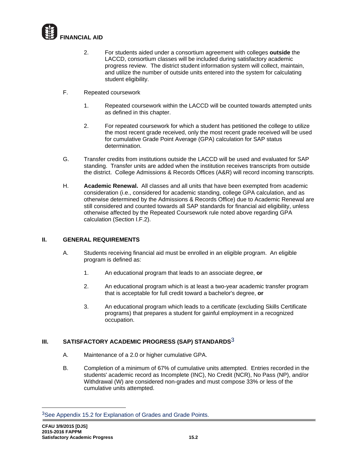

- 2. For students aided under a consortium agreement with colleges **outside** the LACCD, consortium classes will be included during satisfactory academic progress review. The district student information system will collect, maintain, and utilize the number of outside units entered into the system for calculating student eligibility.
- F. Repeated coursework
	- 1. Repeated coursework within the LACCD will be counted towards attempted units as defined in this chapter.
	- 2. For repeated coursework for which a student has petitioned the college to utilize the most recent grade received, only the most recent grade received will be used for cumulative Grade Point Average (GPA) calculation for SAP status determination.
- G. Transfer credits from institutions outside the LACCD will be used and evaluated for SAP standing. Transfer units are added when the institution receives transcripts from outside the district. College Admissions & Records Offices (A&R) will record incoming transcripts.
- H. **Academic Renewal.** All classes and all units that have been exempted from academic consideration (i.e., considered for academic standing, college GPA calculation, and as otherwise determined by the Admissions & Records Office) due to Academic Renewal are still considered and counted towards all SAP standards for financial aid eligibility, unless otherwise affected by the Repeated Coursework rule noted above regarding GPA calculation (Section I.F.2).

## **II. GENERAL REQUIREMENTS**

- A. Students receiving financial aid must be enrolled in an eligible program. An eligible program is defined as:
	- 1. An educational program that leads to an associate degree, **or**
	- 2. An educational program which is at least a two-year academic transfer program that is acceptable for full credit toward a bachelor's degree, **or**
	- 3. An educational program which leads to a certificate (excluding Skills Certificate programs) that prepares a student for gainful employment in a recognized occupation.

# **III. SATISFACTORY ACADEMIC PROGRESS (SAP) STANDARDS**3

- A. Maintenance of a 2.0 or higher cumulative GPA.
- B. Completion of a minimum of 67% of cumulative units attempted. Entries recorded in the students' academic record as Incomplete (INC), No Credit (NCR), No Pass (NP), and/or Withdrawal (W) are considered non-grades and must compose 33% or less of the cumulative units attempted.

 $\overline{a}$ 

<sup>3</sup>See Appendix 15.2 for Explanation of Grades and Grade Points.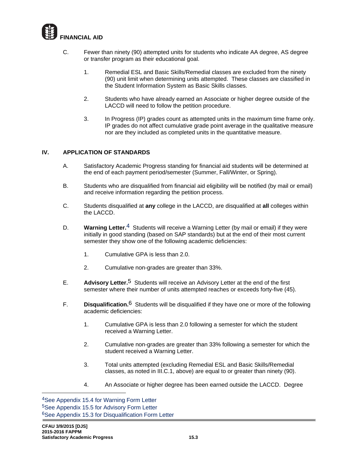

- C. Fewer than ninety (90) attempted units for students who indicate AA degree, AS degree or transfer program as their educational goal.
	- 1. Remedial ESL and Basic Skills/Remedial classes are excluded from the ninety (90) unit limit when determining units attempted. These classes are classified in the Student Information System as Basic Skills classes.
	- 2. Students who have already earned an Associate or higher degree outside of the LACCD will need to follow the petition procedure.
	- 3. In Progress (IP) grades count as attempted units in the maximum time frame only. IP grades do not affect cumulative grade point average in the qualitative measure nor are they included as completed units in the quantitative measure.

## **IV. APPLICATION OF STANDARDS**

- A. Satisfactory Academic Progress standing for financial aid students will be determined at the end of each payment period/semester (Summer, Fall/Winter, or Spring).
- B. Students who are disqualified from financial aid eligibility will be notified (by mail or email) and receive information regarding the petition process.
- C. Students disqualified at **any** college in the LACCD, are disqualified at **all** colleges within the LACCD.
- D. **Warning Letter.**4Students will receive a Warning Letter (by mail or email) if they were initially in good standing (based on SAP standards) but at the end of their most current semester they show one of the following academic deficiencies:
	- 1. Cumulative GPA is less than 2.0.
	- 2. Cumulative non-grades are greater than 33%.
- E. **Advisory Letter.**5Students will receive an Advisory Letter at the end of the first semester where their number of units attempted reaches or exceeds forty-five (45).
- F. **Disqualification.**6 Students will be disqualified if they have one or more of the following academic deficiencies:
	- 1. Cumulative GPA is less than 2.0 following a semester for which the student received a Warning Letter.
	- 2. Cumulative non-grades are greater than 33% following a semester for which the student received a Warning Letter.
	- 3. Total units attempted (excluding Remedial ESL and Basic Skills/Remedial classes, as noted in III.C.1, above) are equal to or greater than ninety (90).
	- 4. An Associate or higher degree has been earned outside the LACCD. Degree

 $\overline{a}$ 

<sup>4</sup>See Appendix 15.4 for Warning Form Letter 5See Appendix 15.5 for Advisory Form Letter 6See Appendix 15.3 for Disqualification Form Letter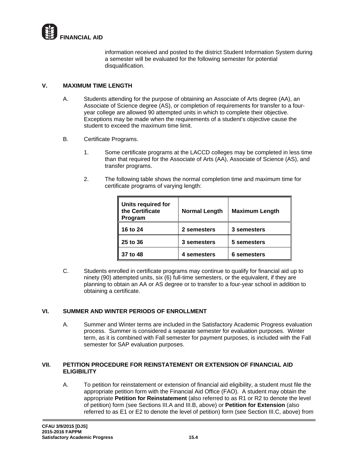

information received and posted to the district Student Information System during a semester will be evaluated for the following semester for potential disqualification.

## **V. MAXIMUM TIME LENGTH**

- A. Students attending for the purpose of obtaining an Associate of Arts degree (AA), an Associate of Science degree (AS), or completion of requirements for transfer to a fouryear college are allowed 90 attempted units in which to complete their objective. Exceptions may be made when the requirements of a student's objective cause the student to exceed the maximum time limit.
- B. Certificate Programs.
	- 1. Some certificate programs at the LACCD colleges may be completed in less time than that required for the Associate of Arts (AA), Associate of Science (AS), and transfer programs.
	- 2. The following table shows the normal completion time and maximum time for certificate programs of varying length:

| Units required for<br>the Certificate<br>Program | <b>Normal Length</b> | <b>Maximum Length</b> |
|--------------------------------------------------|----------------------|-----------------------|
| 16 to 24                                         | 2 semesters          | 3 semesters           |
| 25 to 36                                         | 3 semesters          | 5 semesters           |
| 37 to 48                                         | 4 semesters          | 6 semesters           |

C. Students enrolled in certificate programs may continue to qualify for financial aid up to ninety (90) attempted units, six (6) full-time semesters, or the equivalent, if they are planning to obtain an AA or AS degree or to transfer to a four-year school in addition to obtaining a certificate.

#### **VI. SUMMER AND WINTER PERIODS OF ENROLLMENT**

A. Summer and Winter terms are included in the Satisfactory Academic Progress evaluation process. Summer is considered a separate semester for evaluation purposes. Winter term, as it is combined with Fall semester for payment purposes, is included with the Fall semester for SAP evaluation purposes.

#### **VII. PETITION PROCEDURE FOR REINSTATEMENT OR EXTENSION OF FINANCIAL AID ELIGIBILITY**

A. To petition for reinstatement or extension of financial aid eligibility, a student must file the appropriate petition form with the Financial Aid Office (FAO). A student may obtain the appropriate **Petition for Reinstatement** (also referred to as R1 or R2 to denote the level of petition) form (see Sections III.A and III.B, above) or **Petition for Extension** (also referred to as E1 or E2 to denote the level of petition) form (see Section III.C, above) from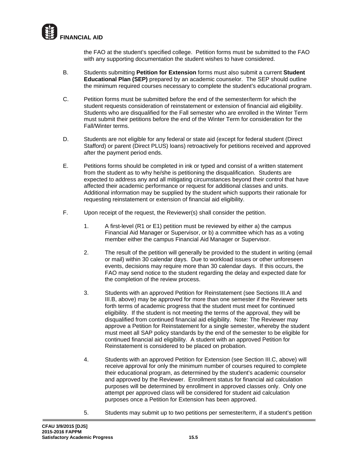

the FAO at the student's specified college. Petition forms must be submitted to the FAO with any supporting documentation the student wishes to have considered.

- B. Students submitting **Petition for Extension** forms must also submit a current **Student Educational Plan (SEP)** prepared by an academic counselor. The SEP should outline the minimum required courses necessary to complete the student's educational program.
- C. Petition forms must be submitted before the end of the semester/term for which the student requests consideration of reinstatement or extension of financial aid eligibility. Students who are disqualified for the Fall semester who are enrolled in the Winter Term must submit their petitions before the end of the Winter Term for consideration for the Fall/Winter terms.
- D. Students are not eligible for any federal or state aid (except for federal student (Direct Stafford) or parent (Direct PLUS) loans) retroactively for petitions received and approved after the payment period ends.
- E. Petitions forms should be completed in ink or typed and consist of a written statement from the student as to why he/she is petitioning the disqualification. Students are expected to address any and all mitigating circumstances beyond their control that have affected their academic performance or request for additional classes and units. Additional information may be supplied by the student which supports their rationale for requesting reinstatement or extension of financial aid eligibility.
- F. Upon receipt of the request, the Reviewer(s) shall consider the petition.
	- 1. A first-level (R1 or E1) petition must be reviewed by either a) the campus Financial Aid Manager or Supervisor, or b) a committee which has as a voting member either the campus Financial Aid Manager or Supervisor.
	- 2. The result of the petition will generally be provided to the student in writing (email or mail) within 30 calendar days. Due to workload issues or other unforeseen events, decisions may require more than 30 calendar days. If this occurs, the FAO may send notice to the student regarding the delay and expected date for the completion of the review process.
	- 3. Students with an approved Petition for Reinstatement (see Sections III.A and III.B, above) may be approved for more than one semester if the Reviewer sets forth terms of academic progress that the student must meet for continued eligibility. If the student is not meeting the terms of the approval, they will be disqualified from continued financial aid eligibility. Note: The Reviewer may approve a Petition for Reinstatement for a single semester, whereby the student must meet all SAP policy standards by the end of the semester to be eligible for continued financial aid eligibility. A student with an approved Petition for Reinstatement is considered to be placed on probation.
	- 4. Students with an approved Petition for Extension (see Section III.C, above) will receive approval for only the minimum number of courses required to complete their educational program, as determined by the student's academic counselor and approved by the Reviewer. Enrollment status for financial aid calculation purposes will be determined by enrollment in approved classes only. Only one attempt per approved class will be considered for student aid calculation purposes once a Petition for Extension has been approved.
	- 5. Students may submit up to two petitions per semester/term, if a student's petition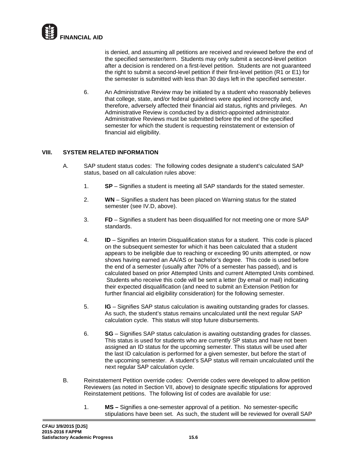

is denied, and assuming all petitions are received and reviewed before the end of the specified semester/term. Students may only submit a second-level petition after a decision is rendered on a first-level petition. Students are not guaranteed the right to submit a second-level petition if their first-level petition (R1 or E1) for the semester is submitted with less than 30 days left in the specified semester.

6. An Administrative Review may be initiated by a student who reasonably believes that college, state, and/or federal guidelines were applied incorrectly and, therefore, adversely affected their financial aid status, rights and privileges. An Administrative Review is conducted by a district-appointed administrator. Administrative Reviews must be submitted before the end of the specified semester for which the student is requesting reinstatement or extension of financial aid eligibility.

## **VIII. SYSTEM RELATED INFORMATION**

- A. SAP student status codes: The following codes designate a student's calculated SAP status, based on all calculation rules above:
	- 1. **SP** Signifies a student is meeting all SAP standards for the stated semester.
	- 2. **WN** Signifies a student has been placed on Warning status for the stated semester (see IV.D, above).
	- 3. **FD** Signifies a student has been disqualified for not meeting one or more SAP standards.
	- 4. **ID** Signifies an Interim Disqualification status for a student. This code is placed on the subsequent semester for which it has been calculated that a student appears to be ineligible due to reaching or exceeding 90 units attempted, or now shows having earned an AA/AS or bachelor's degree. This code is used before the end of a semester (usually after 70% of a semester has passed), and is calculated based on prior Attempted Units and current Attempted Units combined. Students who receive this code will be sent a letter (by email or mail) indicating their expected disqualification (and need to submit an Extension Petition for further financial aid eligibility consideration) for the following semester.
	- 5. **IG** Signifies SAP status calculation is awaiting outstanding grades for classes. As such, the student's status remains uncalculated until the next regular SAP calculation cycle. This status will stop future disbursements.
	- 6. **SG**  Signifies SAP status calculation is awaiting outstanding grades for classes. This status is used for students who are currently SP status and have not been assigned an ID status for the upcoming semester. This status will be used after the last ID calculation is performed for a given semester, but before the start of the upcoming semester. A student's SAP status will remain uncalculated until the next regular SAP calculation cycle.
- B. Reinstatement Petition override codes: Override codes were developed to allow petition Reviewers (as noted in Section VII, above) to designate specific stipulations for approved Reinstatement petitions. The following list of codes are available for use:
	- 1. **MS –** Signifies a one-semester approval of a petition. No semester-specific stipulations have been set. As such, the student will be reviewed for overall SAP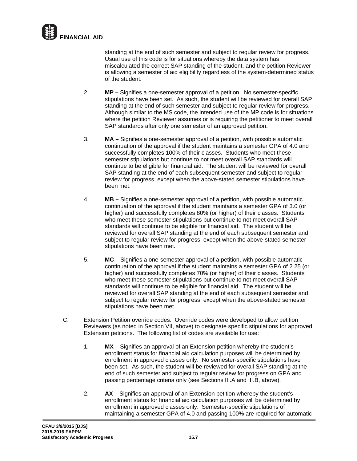

standing at the end of such semester and subject to regular review for progress. Usual use of this code is for situations whereby the data system has miscalculated the correct SAP standing of the student, and the petition Reviewer is allowing a semester of aid eligibility regardless of the system-determined status of the student.

- 2. **MP –** Signifies a one-semester approval of a petition. No semester-specific stipulations have been set. As such, the student will be reviewed for overall SAP standing at the end of such semester and subject to regular review for progress. Although similar to the MS code, the intended use of the MP code is for situations where the petition Reviewer assumes or is requiring the petitioner to meet overall SAP standards after only one semester of an approved petition.
- 3. **MA –** Signifies a one-semester approval of a petition, with possible automatic continuation of the approval if the student maintains a semester GPA of 4.0 and successfully completes 100% of their classes. Students who meet these semester stipulations but continue to not meet overall SAP standards will continue to be eligible for financial aid. The student will be reviewed for overall SAP standing at the end of each subsequent semester and subject to regular review for progress, except when the above-stated semester stipulations have been met.
- 4. **MB –** Signifies a one-semester approval of a petition, with possible automatic continuation of the approval if the student maintains a semester GPA of 3.0 (or higher) and successfully completes 80% (or higher) of their classes. Students who meet these semester stipulations but continue to not meet overall SAP standards will continue to be eligible for financial aid. The student will be reviewed for overall SAP standing at the end of each subsequent semester and subject to regular review for progress, except when the above-stated semester stipulations have been met.
- 5. **MC –** Signifies a one-semester approval of a petition, with possible automatic continuation of the approval if the student maintains a semester GPA of 2.25 (or higher) and successfully completes 70% (or higher) of their classes. Students who meet these semester stipulations but continue to not meet overall SAP standards will continue to be eligible for financial aid. The student will be reviewed for overall SAP standing at the end of each subsequent semester and subject to regular review for progress, except when the above-stated semester stipulations have been met.
- C. Extension Petition override codes: Override codes were developed to allow petition Reviewers (as noted in Section VII, above) to designate specific stipulations for approved Extension petitions. The following list of codes are available for use:
	- 1. **MX –** Signifies an approval of an Extension petition whereby the student's enrollment status for financial aid calculation purposes will be determined by enrollment in approved classes only. No semester-specific stipulations have been set. As such, the student will be reviewed for overall SAP standing at the end of such semester and subject to regular review for progress on GPA and passing percentage criteria only (see Sections III.A and III.B, above).
	- 2. **AX –** Signifies an approval of an Extension petition whereby the student's enrollment status for financial aid calculation purposes will be determined by enrollment in approved classes only. Semester-specific stipulations of maintaining a semester GPA of 4.0 and passing 100% are required for automatic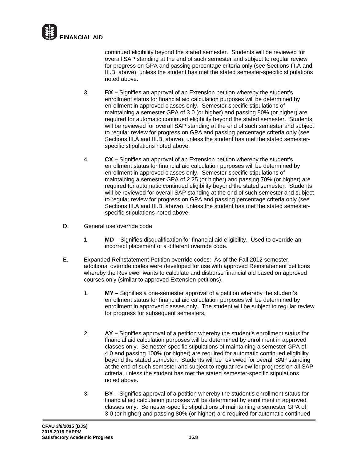

continued eligibility beyond the stated semester. Students will be reviewed for overall SAP standing at the end of such semester and subject to regular review for progress on GPA and passing percentage criteria only (see Sections III.A and III.B, above), unless the student has met the stated semester-specific stipulations noted above.

- 3. **BX –** Signifies an approval of an Extension petition whereby the student's enrollment status for financial aid calculation purposes will be determined by enrollment in approved classes only. Semester-specific stipulations of maintaining a semester GPA of 3.0 (or higher) and passing 80% (or higher) are required for automatic continued eligibility beyond the stated semester. Students will be reviewed for overall SAP standing at the end of such semester and subject to regular review for progress on GPA and passing percentage criteria only (see Sections III.A and III.B, above), unless the student has met the stated semesterspecific stipulations noted above.
- 4. **CX –** Signifies an approval of an Extension petition whereby the student's enrollment status for financial aid calculation purposes will be determined by enrollment in approved classes only. Semester-specific stipulations of maintaining a semester GPA of 2.25 (or higher) and passing 70% (or higher) are required for automatic continued eligibility beyond the stated semester. Students will be reviewed for overall SAP standing at the end of such semester and subject to regular review for progress on GPA and passing percentage criteria only (see Sections III.A and III.B, above), unless the student has met the stated semesterspecific stipulations noted above.
- D. General use override code
	- 1. **MD –** Signifies disqualification for financial aid eligibility. Used to override an incorrect placement of a different override code.
- E. Expanded Reinstatement Petition override codes: As of the Fall 2012 semester, additional override codes were developed for use with approved Reinstatement petitions whereby the Reviewer wants to calculate and disburse financial aid based on approved courses only (similar to approved Extension petitions).
	- 1. **MY –** Signifies a one-semester approval of a petition whereby the student's enrollment status for financial aid calculation purposes will be determined by enrollment in approved classes only. The student will be subject to regular review for progress for subsequent semesters.
	- 2. **AY –** Signifies approval of a petition whereby the student's enrollment status for financial aid calculation purposes will be determined by enrollment in approved classes only. Semester-specific stipulations of maintaining a semester GPA of 4.0 and passing 100% (or higher) are required for automatic continued eligibility beyond the stated semester. Students will be reviewed for overall SAP standing at the end of such semester and subject to regular review for progress on all SAP criteria, unless the student has met the stated semester-specific stipulations noted above.
	- 3. **BY –** Signifies approval of a petition whereby the student's enrollment status for financial aid calculation purposes will be determined by enrollment in approved classes only. Semester-specific stipulations of maintaining a semester GPA of 3.0 (or higher) and passing 80% (or higher) are required for automatic continued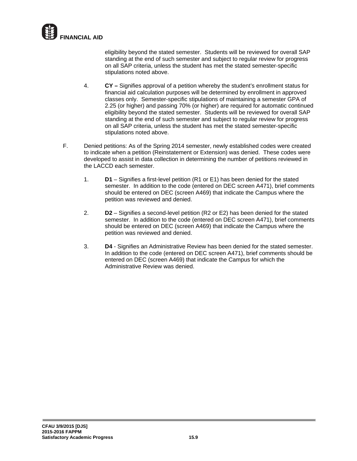

eligibility beyond the stated semester. Students will be reviewed for overall SAP standing at the end of such semester and subject to regular review for progress on all SAP criteria, unless the student has met the stated semester-specific stipulations noted above.

- 4. **CY –** Signifies approval of a petition whereby the student's enrollment status for financial aid calculation purposes will be determined by enrollment in approved classes only. Semester-specific stipulations of maintaining a semester GPA of 2.25 (or higher) and passing 70% (or higher) are required for automatic continued eligibility beyond the stated semester. Students will be reviewed for overall SAP standing at the end of such semester and subject to regular review for progress on all SAP criteria, unless the student has met the stated semester-specific stipulations noted above.
- F. Denied petitions: As of the Spring 2014 semester, newly established codes were created to indicate when a petition (Reinstatement or Extension) was denied. These codes were developed to assist in data collection in determining the number of petitions reviewed in the LACCD each semester.
	- 1. **D1**  Signifies a first-level petition (R1 or E1) has been denied for the stated semester. In addition to the code (entered on DEC screen A471), brief comments should be entered on DEC (screen A469) that indicate the Campus where the petition was reviewed and denied.
	- 2. **D2** Signifies a second-level petition (R2 or E2) has been denied for the stated semester. In addition to the code (entered on DEC screen A471), brief comments should be entered on DEC (screen A469) that indicate the Campus where the petition was reviewed and denied.
	- 3. **D4**  Signifies an Administrative Review has been denied for the stated semester. In addition to the code (entered on DEC screen A471), brief comments should be entered on DEC (screen A469) that indicate the Campus for which the Administrative Review was denied.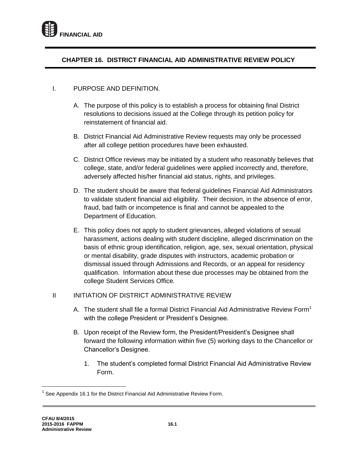

# **CHAPTER 16. DISTRICT FINANCIAL AID ADMINISTRATIVE REVIEW POLICY**

## I. PURPOSE AND DEFINITION.

- A. The purpose of this policy is to establish a process for obtaining final District resolutions to decisions issued at the College through its petition policy for reinstatement of financial aid.
- B. District Financial Aid Administrative Review requests may only be processed after all college petition procedures have been exhausted.
- C. District Office reviews may be initiated by a student who reasonably believes that college, state, and/or federal guidelines were applied incorrectly and, therefore, adversely affected his/her financial aid status, rights, and privileges.
- D. The student should be aware that federal guidelines Financial Aid Administrators to validate student financial aid eligibility. Their decision, in the absence of error, fraud, bad faith or incompetence is final and cannot be appealed to the Department of Education.
- E. This policy does not apply to student grievances, alleged violations of sexual harassment, actions dealing with student discipline, alleged discrimination on the basis of ethnic group identification, religion, age, sex, sexual orientation, physical or mental disability, grade disputes with instructors, academic probation or dismissal issued through Admissions and Records, or an appeal for residency qualification. Information about these due processes may be obtained from the college Student Services Office.

## II INITIATION OF DISTRICT ADMINISTRATIVE REVIEW

- A. The student shall file a formal District Financial Aid Administrative Review Form<sup>1</sup> with the college President or President's Designee.
- B. Upon receipt of the Review form, the President/President's Designee shall forward the following information within five (5) working days to the Chancellor or Chancellor's Designee.
	- 1. The student's completed formal District Financial Aid Administrative Review Form.

 $\overline{\phantom{a}}$ 

<sup>1</sup> See Appendix 16.1 for the District Financial Aid Administrative Review Form.